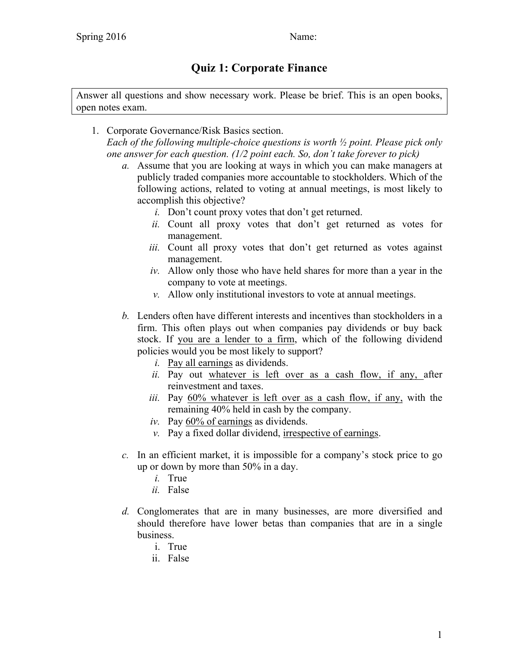## **Quiz 1: Corporate Finance**

Answer all questions and show necessary work. Please be brief. This is an open books, open notes exam.

- 1. Corporate Governance/Risk Basics section. *Each of the following multiple-choice questions is worth ½ point. Please pick only one answer for each question. (1/2 point each. So, don't take forever to pick)*
	- *a.* Assume that you are looking at ways in which you can make managers at publicly traded companies more accountable to stockholders. Which of the following actions, related to voting at annual meetings, is most likely to accomplish this objective?
		- *i.* Don't count proxy votes that don't get returned.
		- *ii.* Count all proxy votes that don't get returned as votes for management.
		- *iii.* Count all proxy votes that don't get returned as votes against management.
		- *iv.* Allow only those who have held shares for more than a year in the company to vote at meetings.
		- *v.* Allow only institutional investors to vote at annual meetings.
	- *b.* Lenders often have different interests and incentives than stockholders in a firm. This often plays out when companies pay dividends or buy back stock. If you are a lender to a firm, which of the following dividend policies would you be most likely to support?
		- *i.* Pay all earnings as dividends.
		- *ii.* Pay out whatever is left over as a cash flow, if any, after reinvestment and taxes.
		- *iii.* Pay 60% whatever is left over as a cash flow, if any, with the remaining 40% held in cash by the company.
		- *iv.* Pay 60% of earnings as dividends.
		- *v.* Pay a fixed dollar dividend, irrespective of earnings.
	- *c.* In an efficient market, it is impossible for a company's stock price to go up or down by more than 50% in a day.
		- *i.* True
		- *ii.* False
	- *d.* Conglomerates that are in many businesses, are more diversified and should therefore have lower betas than companies that are in a single business.
		- i. True
		- ii. False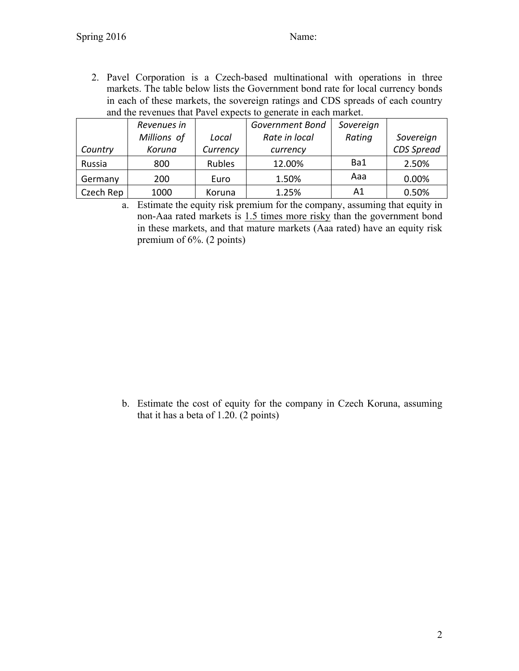2. Pavel Corporation is a Czech-based multinational with operations in three markets. The table below lists the Government bond rate for local currency bonds in each of these markets, the sovereign ratings and CDS spreads of each country and the revenues that Pavel expects to generate in each market.

|           | Revenues in |               | <b>Government Bond</b> | Sovereign |            |
|-----------|-------------|---------------|------------------------|-----------|------------|
|           | Millions of | Local         | Rate in local          | Rating    | Sovereign  |
| Country   | Koruna      | Currency      | currency               |           | CDS Spread |
| Russia    | 800         | <b>Rubles</b> | 12.00%                 | Ba1       | 2.50%      |
| Germany   | 200         | Euro          | 1.50%                  | Aaa       | 0.00%      |
| Czech Rep | 1000        | Koruna        | 1.25%                  | Α1        | 0.50%      |

a. Estimate the equity risk premium for the company, assuming that equity in non-Aaa rated markets is 1.5 times more risky than the government bond in these markets, and that mature markets (Aaa rated) have an equity risk premium of 6%. (2 points)

b. Estimate the cost of equity for the company in Czech Koruna, assuming that it has a beta of 1.20. (2 points)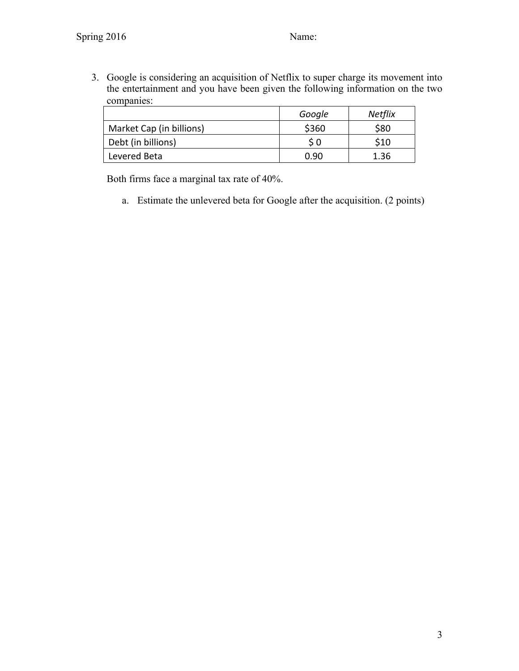3. Google is considering an acquisition of Netflix to super charge its movement into the entertainment and you have been given the following information on the two companies:

|                          | Google | <b>Netflix</b> |
|--------------------------|--------|----------------|
| Market Cap (in billions) | \$360  | \$80           |
| Debt (in billions)       | S 0    | \$10           |
| Levered Beta             | በ ዓበ   | 1.36           |

Both firms face a marginal tax rate of 40%.

a. Estimate the unlevered beta for Google after the acquisition. (2 points)